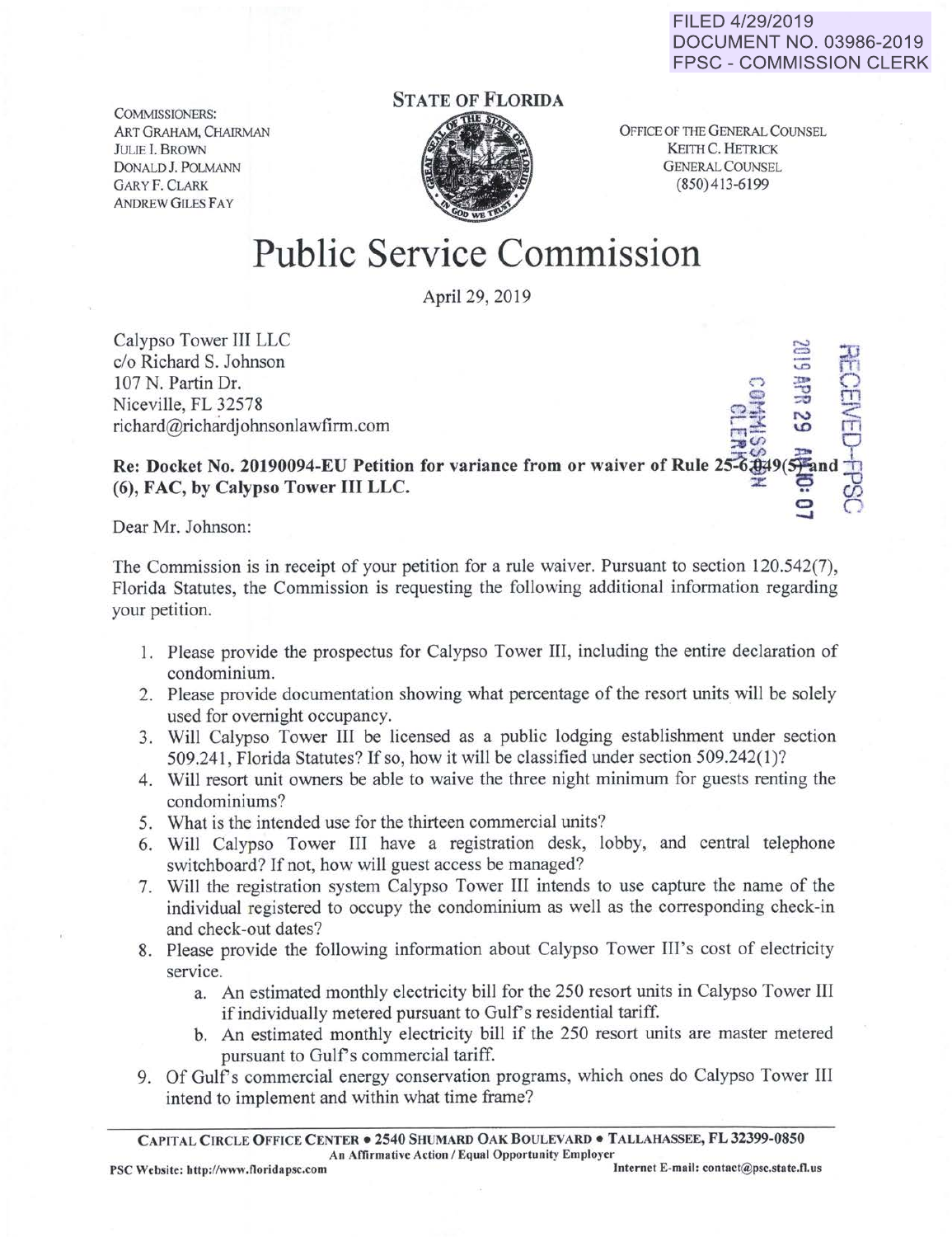FILED 4/29/2019 DOCUMENT NO. 03986-2019 FPSC - COMMISSION CLERK

 $\frac{1}{2}$  9  $\frac{1}{2}$ 

COMMISSIONERS: ART GRAHAM, CHAIRMAN JULIE I. BROWN DoNALD J. POLMANN GARY F. CLARK ANDREW GILES FAY

## STATE OF FLORIDA



OFFICE OF THE GENERAL COUNSEL KEITH C. HETRICK GENERAL COUNSEL (850) 413-6 199

## Public Service Commission

April29, 2019

Calypso Tower III LLC .......:> c/o Richard S. Johnson 107 N. Partin Dr. Niceville, FL 32578  $richard@richardjohnsonlawfirm.com$ 

Re: Docket No. 20190094-EU Petition for variance from or waiver of Rule 25-6.04 (6), FAC, by Calypso Tower III LLC. g 0

Dear Mr. Johnson:

The Commission is in receipt of your petition for a rule waiver. Pursuant to section 120.542(7), Florida Statutes, the Commission is requesting the following additional information regarding your petition.

- 1. Please provide the prospectus for Calypso Tower III, including the entire declaration of condominium.
- 2. Please provide documentation showing what percentage of the resort units will be solely used for overnight occupancy.
- 3. Will Calypso Tower III be licensed as a public lodging establishment under section 509.241, Florida Statutes? If so, how it will be classified under section 509.242(1 )?
- 4. Will resort unit owners be able to waive the three night minimum for guests renting the condominiums?
- 5. What is the intended use for the thirteen commercial units?
- 6. Will Calypso Tower III have a registration desk, lobby, and central telephone switchboard? If not, how will guest access be managed?
- 7. Will the registration system Calypso Tower III intends to use capture the name of the individual registered to occupy the condominium as well as the corresponding check-in and check-out dates?
- 8. Please provide the following information about Calypso Tower III's cost of electricity service.
	- a. An estimated monthly electricity bill for the 250 resort units in Calypso Tower III if individually metered pursuant to Gulf's residential tariff.
	- b. An estimated monthly electricity bill if the 250 resort units are master metered pursuant to Gulf's commercial tariff.
- 9. Of Gulf's commercial energy conservation programs, which ones do Calypso Tower III intend to implement and within what time frame?

CAPITAL CIRCLE OFFICE CENTER • 2540 SHUMARD OAK BOULEVARD • TALLAHASSEE, FL 32399-0850 An Affirmative Action / Equal Opportunity Employer<br>Internet E-mail: contact@psc.state.fl.us PSC Website: http://www.floridapsc.com